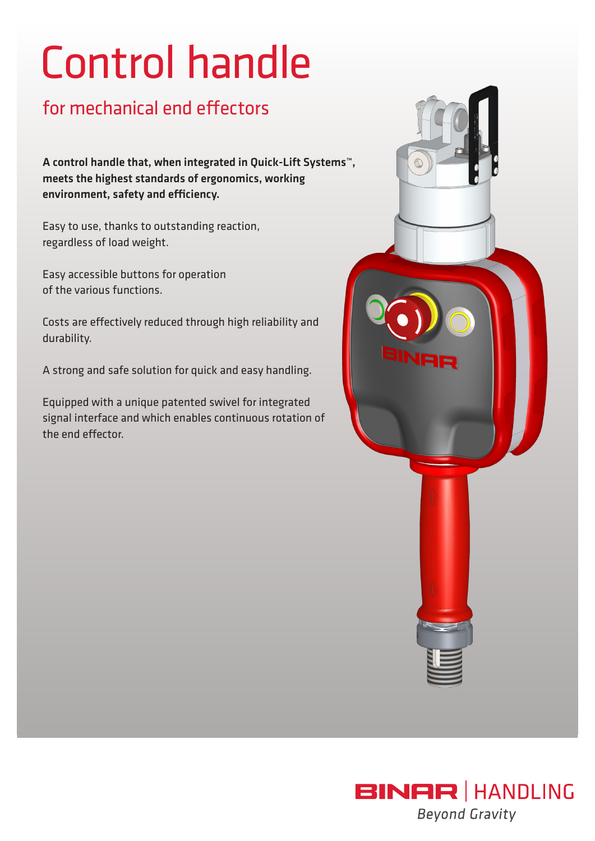# Control handle

### for mechanical end effectors

A control handle that, when integrated in Quick-Lift Systems™, meets the highest standards of ergonomics, working environment, safety and efficiency.

Easy to use, thanks to outstanding reaction, regardless of load weight.

Easy accessible buttons for operation of the various functions.

Costs are effectively reduced through high reliability and durability.

A strong and safe solution for quick and easy handling.

Equipped with a unique patented swivel for integrated signal interface and which enables continuous rotation of the end effector.